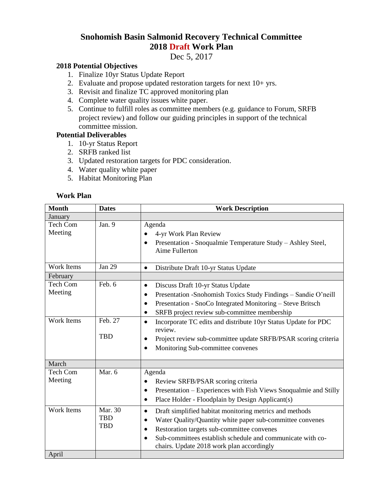## **Snohomish Basin Salmonid Recovery Technical Committee 2018 Draft Work Plan**

Dec 5, 2017

## **2018 Potential Objectives**

- 1. Finalize 10yr Status Update Report
- 2. Evaluate and propose updated restoration targets for next  $10+$  yrs.
- 3. Revisit and finalize TC approved monitoring plan
- 4. Complete water quality issues white paper.
- 5. Continue to fulfill roles as committee members (e.g. guidance to Forum, SRFB project review) and follow our guiding principles in support of the technical committee mission.

## **Potential Deliverables**

- 1. 10-yr Status Report
- 2. SRFB ranked list
- 3. Updated restoration targets for PDC consideration.
- 4. Water quality white paper
- 5. Habitat Monitoring Plan

## **Work Plan**

| <b>Month</b>                             | <b>Dates</b>                        | <b>Work Description</b>                                                                                                                                                                                                                                                                                                                                                                                                                                                             |
|------------------------------------------|-------------------------------------|-------------------------------------------------------------------------------------------------------------------------------------------------------------------------------------------------------------------------------------------------------------------------------------------------------------------------------------------------------------------------------------------------------------------------------------------------------------------------------------|
| January                                  |                                     |                                                                                                                                                                                                                                                                                                                                                                                                                                                                                     |
| <b>Tech Com</b><br>Meeting               | Jan. 9                              | Agenda<br>4-yr Work Plan Review<br>Presentation - Snoqualmie Temperature Study - Ashley Steel,<br>$\bullet$<br>Aime Fullerton                                                                                                                                                                                                                                                                                                                                                       |
| <b>Work Items</b>                        | <b>Jan 29</b>                       | Distribute Draft 10-yr Status Update<br>$\bullet$                                                                                                                                                                                                                                                                                                                                                                                                                                   |
| February                                 |                                     |                                                                                                                                                                                                                                                                                                                                                                                                                                                                                     |
| Tech Com<br>Meeting<br><b>Work Items</b> | Feb. 6<br>Feb. 27<br><b>TBD</b>     | Discuss Draft 10-yr Status Update<br>$\bullet$<br>Presentation -Snohomish Toxics Study Findings - Sandie O'neill<br>Presentation - SnoCo Integrated Monitoring - Steve Britsch<br>$\bullet$<br>SRFB project review sub-committee membership<br>$\bullet$<br>Incorporate TC edits and distribute 10yr Status Update for PDC<br>$\bullet$<br>review.<br>Project review sub-committee update SRFB/PSAR scoring criteria<br>$\bullet$<br>Monitoring Sub-committee convenes<br>$\bullet$ |
| March                                    |                                     |                                                                                                                                                                                                                                                                                                                                                                                                                                                                                     |
| <b>Tech Com</b><br>Meeting               | Mar. 6                              | Agenda<br>Review SRFB/PSAR scoring criteria<br>$\bullet$<br>Presentation – Experiences with Fish Views Snoqualmie and Stilly<br>$\bullet$<br>Place Holder - Floodplain by Design Applicant(s)<br>$\bullet$                                                                                                                                                                                                                                                                          |
| Work Items<br>April                      | Mar. 30<br><b>TBD</b><br><b>TBD</b> | Draft simplified habitat monitoring metrics and methods<br>$\bullet$<br>Water Quality/Quantity white paper sub-committee convenes<br>$\bullet$<br>Restoration targets sub-committee convenes<br>$\bullet$<br>Sub-committees establish schedule and communicate with co-<br>$\bullet$<br>chairs. Update 2018 work plan accordingly                                                                                                                                                   |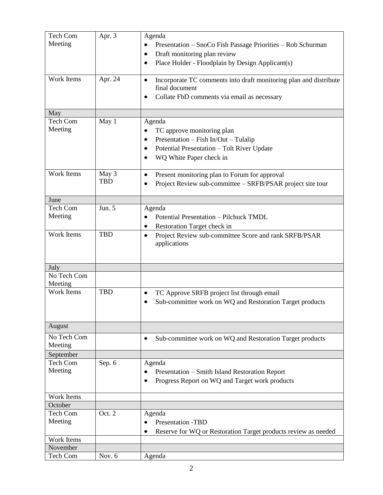| Tech Com<br>Meeting | Apr. 3     | Agenda<br>Presentation – SnoCo Fish Passage Priorities – Rob Schurman<br>$\bullet$               |
|---------------------|------------|--------------------------------------------------------------------------------------------------|
|                     |            | Draft monitoring plan review                                                                     |
|                     |            | Place Holder - Floodplain by Design Applicant(s)                                                 |
| Work Items          | Apr. 24    | Incorporate TC comments into draft monitoring plan and distribute<br>$\bullet$<br>final document |
|                     |            | Collate FbD comments via email as necessary<br>٠                                                 |
| May                 |            |                                                                                                  |
| Tech Com            | May 1      | Agenda                                                                                           |
| Meeting             |            | TC approve monitoring plan                                                                       |
|                     |            | Presentation - Fish In/Out - Tulalip                                                             |
|                     |            | Potential Presentation - Tolt River Update                                                       |
|                     |            | WQ White Paper check in                                                                          |
| Work Items          | May 3      | Present monitoring plan to Forum for approval<br>٠                                               |
|                     | <b>TBD</b> | Project Review sub-committee - SRFB/PSAR project site tour                                       |
|                     |            |                                                                                                  |
| June                |            |                                                                                                  |
| Tech Com            | Jun. 5     | Agenda                                                                                           |
| Meeting             |            | Potential Presentation - Pilchuck TMDL<br>$\bullet$                                              |
|                     |            | Restoration Target check in                                                                      |
| Work Items          | <b>TBD</b> | Project Review sub-committee Score and rank SRFB/PSAR<br>$\bullet$<br>applications               |
| July                |            |                                                                                                  |
| No Tech Com         |            |                                                                                                  |
| Meeting             |            |                                                                                                  |
| Work Items          | <b>TBD</b> | TC Approve SRFB project list through email<br>٠                                                  |
|                     |            | Sub-committee work on WQ and Restoration Target products                                         |
|                     |            |                                                                                                  |
| August              |            |                                                                                                  |
| No Tech Com         |            | Sub-committee work on WQ and Restoration Target products                                         |
| Meeting             |            |                                                                                                  |
| September           |            |                                                                                                  |
| Tech Com            | Sep. 6     | Agenda                                                                                           |
| Meeting             |            | Presentation – Smith Island Restoration Report                                                   |
|                     |            | Progress Report on WQ and Target work products                                                   |
|                     |            |                                                                                                  |
| Work Items          |            |                                                                                                  |
| October             |            |                                                                                                  |
| Tech Com            | Oct. 2     | Agenda                                                                                           |
| Meeting             |            | <b>Presentation -TBD</b><br>$\bullet$                                                            |
|                     |            | Reserve for WQ or Restoration Target products review as needed                                   |
| Work Items          |            |                                                                                                  |
| November            |            |                                                                                                  |
| Tech Com            | Nov. 6     | Agenda                                                                                           |